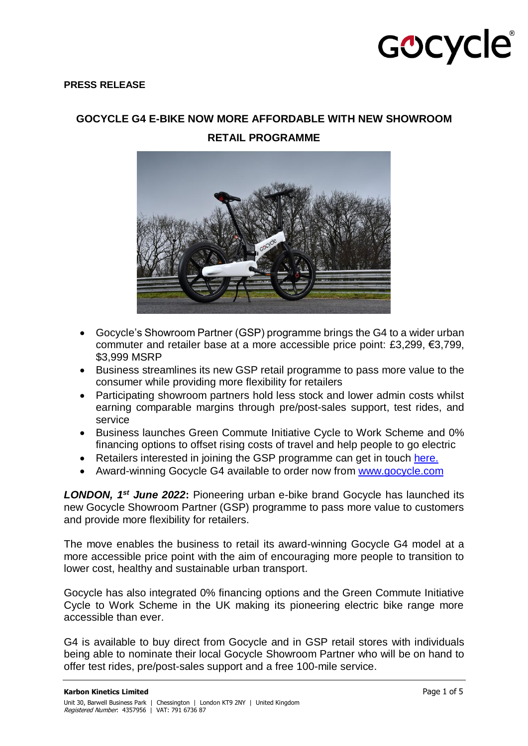## GOCYCle®

#### **PRESS RELEASE**

**GOCYCLE G4 E-BIKE NOW MORE AFFORDABLE WITH NEW SHOWROOM** 

**RETAIL PROGRAMME**

- Gocycle's Showroom Partner (GSP) programme brings the G4 to a wider urban commuter and retailer base at a more accessible price point: £3,299, €3,799, \$3,999 MSRP
- Business streamlines its new GSP retail programme to pass more value to the consumer while providing more flexibility for retailers
- Participating showroom partners hold less stock and lower admin costs whilst earning comparable margins through pre/post-sales support, test rides, and service
- Business launches Green Commute Initiative Cycle to Work Scheme and 0% financing options to offset rising costs of travel and help people to go electric
- Retailers interested in joining the GSP programme can get in touch [here.](https://gocycle.wufoo.com/forms/mle0lt71xk3jgs/)
- Award-winning Gocycle G4 available to order now from [www.gocycle.com](http://www.gocycle.com/)

*LONDON, 1 st June 2022***:** Pioneering urban e-bike brand Gocycle has launched its new Gocycle Showroom Partner (GSP) programme to pass more value to customers and provide more flexibility for retailers.

The move enables the business to retail its award-winning Gocycle G4 model at a more accessible price point with the aim of encouraging more people to transition to lower cost, healthy and sustainable urban transport.

Gocycle has also integrated 0% financing options and the Green Commute Initiative Cycle to Work Scheme in the UK making its pioneering electric bike range more accessible than ever.

G4 is available to buy direct from Gocycle and in GSP retail stores with individuals being able to nominate their local Gocycle Showroom Partner who will be on hand to offer test rides, pre/post-sales support and a free 100-mile service.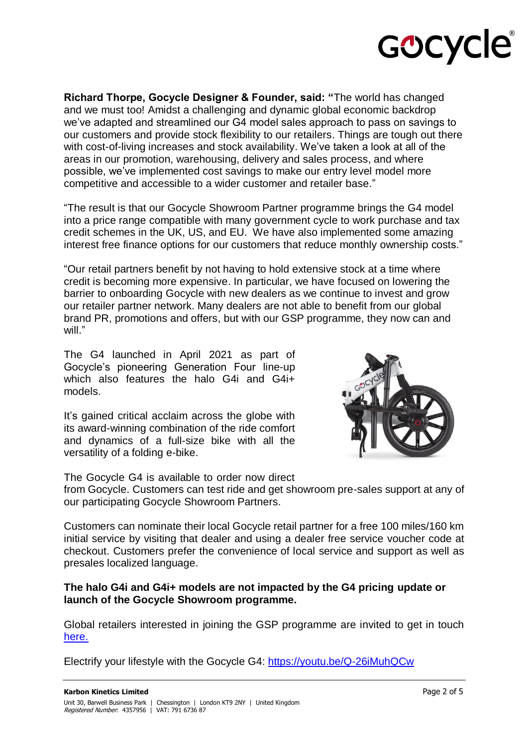

**Richard Thorpe, Gocycle Designer & Founder, said: "**The world has changed and we must too! Amidst a challenging and dynamic global economic backdrop we've adapted and streamlined our G4 model sales approach to pass on savings to our customers and provide stock flexibility to our retailers. Things are tough out there with cost-of-living increases and stock availability. We've taken a look at all of the areas in our promotion, warehousing, delivery and sales process, and where possible, we've implemented cost savings to make our entry level model more competitive and accessible to a wider customer and retailer base."

"The result is that our Gocycle Showroom Partner programme brings the G4 model into a price range compatible with many government cycle to work purchase and tax credit schemes in the UK, US, and EU. We have also implemented some amazing interest free finance options for our customers that reduce monthly ownership costs."

"Our retail partners benefit by not having to hold extensive stock at a time where credit is becoming more expensive. In particular, we have focused on lowering the barrier to onboarding Gocycle with new dealers as we continue to invest and grow our retailer partner network. Many dealers are not able to benefit from our global brand PR, promotions and offers, but with our GSP programme, they now can and will."

The G4 launched in April 2021 as part of Gocycle's pioneering Generation Four line-up which also features the halo G4i and G4i+ models.

It's gained critical acclaim across the globe with its award-winning combination of the ride comfort and dynamics of a full-size bike with all the versatility of a folding e-bike.

The Gocycle G4 is available to order now direct



from Gocycle. Customers can test ride and get showroom pre-sales support at any of our participating Gocycle Showroom Partners.

Customers can nominate their local Gocycle retail partner for a free 100 miles/160 km initial service by visiting that dealer and using a dealer free service voucher code at checkout. Customers prefer the convenience of local service and support as well as presales localized language.

### **The halo G4i and G4i+ models are not impacted by the G4 pricing update or launch of the Gocycle Showroom programme.**

Global retailers interested in joining the GSP programme are invited to get in touch [here.](https://gocycle.wufoo.com/forms/mle0lt71xk3jgs/)

Electrify your lifestyle with the Gocycle G4:<https://youtu.be/Q-26iMuhQCw>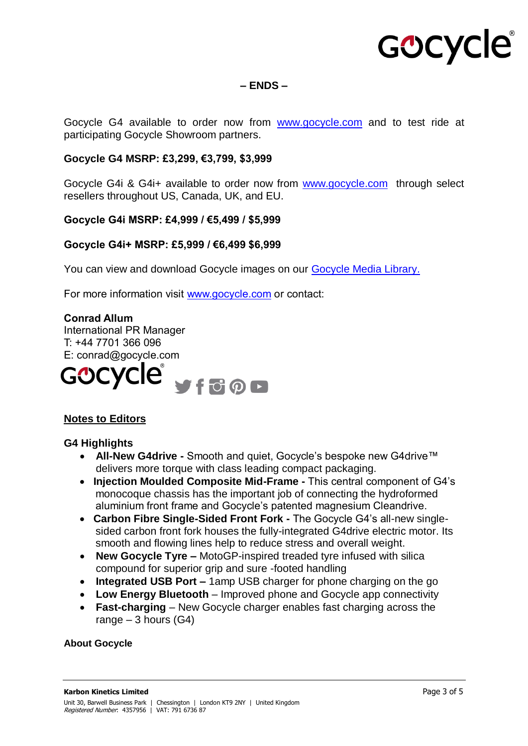## GOCYCle®

**– ENDS –**

Gocycle G4 available to order now from [www.gocycle.com](http://www.gocycle.com/) and to test ride at participating Gocycle Showroom partners.

#### **Gocycle G4 MSRP: £3,299, €3,799, \$3,999**

Gocycle G4i & G4i+ available to order now from [www.gocycle.com](http://www.gocycle.com/) through select resellers throughout US, Canada, UK, and EU.

#### **Gocycle G4i MSRP: £4,999 / €5,499 / \$5,999**

#### **Gocycle G4i+ MSRP: £5,999 / €6,499 \$6,999**

You can view and download Gocycle images on our [Gocycle Media Library.](https://www.dropbox.com/sh/z5980kc4czqh7gw/AABplGPDYBXScmKaqccExzLla?dl=0)

For more information visit [www.gocycle.com](http://www.gocycle.com/) or contact:

#### **Conrad Allum**

International PR Manager T: +44 7701 366 096 E: conrad@gocycle.com



#### **Notes to Editors**

#### **G4 Highlights**

- **All-New G4drive -** Smooth and quiet, Gocycle's bespoke new G4drive™ delivers more torque with class leading compact packaging.
- **Injection Moulded Composite Mid-Frame -** This central component of G4's monocoque chassis has the important job of connecting the hydroformed aluminium front frame and Gocycle's patented magnesium Cleandrive.
- **Carbon Fibre Single-Sided Front Fork -** The Gocycle G4's all-new singlesided carbon front fork houses the fully-integrated G4drive electric motor. Its smooth and flowing lines help to reduce stress and overall weight.
- **New Gocycle Tyre –** MotoGP-inspired treaded tyre infused with silica compound for superior grip and sure -footed handling
- **Integrated USB Port –** 1amp USB charger for phone charging on the go
- **Low Energy Bluetooth**  Improved phone and Gocycle app connectivity
- **Fast-charging**  New Gocycle charger enables fast charging across the range  $-3$  hours (G4)

#### **About Gocycle**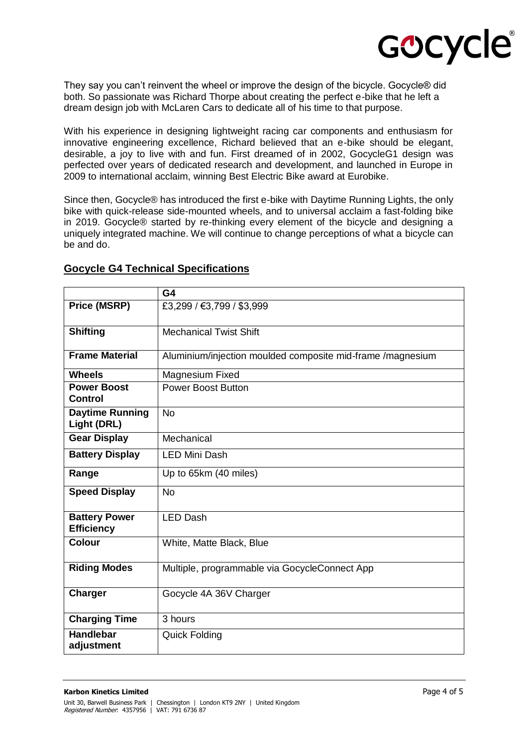

They say you can't reinvent the wheel or improve the design of the bicycle. Gocycle® did both. So passionate was Richard Thorpe about creating the perfect e-bike that he left a dream design job with McLaren Cars to dedicate all of his time to that purpose.

With his experience in designing lightweight racing car components and enthusiasm for innovative engineering excellence, Richard believed that an e-bike should be elegant, desirable, a joy to live with and fun. First dreamed of in 2002, GocycleG1 design was perfected over years of dedicated research and development, and launched in Europe in 2009 to international acclaim, winning Best Electric Bike award at Eurobike.

Since then, Gocycle® has introduced the first e-bike with Daytime Running Lights, the only bike with quick-release side-mounted wheels, and to universal acclaim a fast-folding bike in 2019. Gocycle® started by re-thinking every element of the bicycle and designing a uniquely integrated machine. We will continue to change perceptions of what a bicycle can be and do.

|                                           | G4                                                         |
|-------------------------------------------|------------------------------------------------------------|
| <b>Price (MSRP)</b>                       | £3,299 / €3,799 / \$3,999                                  |
| <b>Shifting</b>                           | <b>Mechanical Twist Shift</b>                              |
| <b>Frame Material</b>                     | Aluminium/injection moulded composite mid-frame /magnesium |
| <b>Wheels</b>                             | Magnesium Fixed                                            |
| <b>Power Boost</b><br><b>Control</b>      | <b>Power Boost Button</b>                                  |
| <b>Daytime Running</b><br>Light (DRL)     | <b>No</b>                                                  |
| <b>Gear Display</b>                       | Mechanical                                                 |
| <b>Battery Display</b>                    | <b>LED Mini Dash</b>                                       |
| Range                                     | Up to 65km (40 miles)                                      |
| <b>Speed Display</b>                      | <b>No</b>                                                  |
| <b>Battery Power</b><br><b>Efficiency</b> | <b>LED Dash</b>                                            |
| <b>Colour</b>                             | White, Matte Black, Blue                                   |
| <b>Riding Modes</b>                       | Multiple, programmable via GocycleConnect App              |
| <b>Charger</b>                            | Gocycle 4A 36V Charger                                     |
| <b>Charging Time</b>                      | 3 hours                                                    |
| <b>Handlebar</b><br>adjustment            | <b>Quick Folding</b>                                       |

#### **Gocycle G4 Technical Specifications**